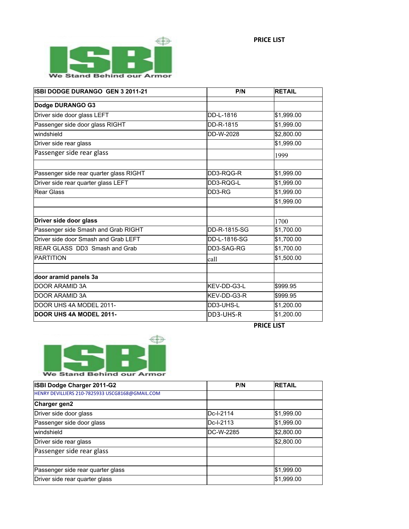

| ISBI DODGE DURANGO GEN 3 2011-21        | P/N          | <b>RETAIL</b> |
|-----------------------------------------|--------------|---------------|
| Dodge DURANGO G3                        |              |               |
| Driver side door glass LEFT             | DD-L-1816    | \$1,999.00    |
| Passenger side door glass RIGHT         | DD-R-1815    | \$1,999.00    |
| windshield                              | DD-W-2028    | \$2,800.00    |
| Driver side rear glass                  |              | \$1,999.00    |
| Passenger side rear glass               |              | 1999          |
| Passenger side rear quarter glass RIGHT | DD3-RQG-R    | \$1,999.00    |
| Driver side rear quarter glass LEFT     | DD3-RQG-L    | \$1,999.00    |
| <b>Rear Glass</b>                       | DD3-RG       | \$1,999.00    |
|                                         |              | \$1,999.00    |
|                                         |              |               |
| Driver side door glass                  |              | 1700          |
| Passenger side Smash and Grab RIGHT     | DD-R-1815-SG | \$1,700.00    |
| Driver side door Smash and Grab LEFT    | DD-L-1816-SG | \$1,700.00    |
| REAR GLASS DD3 Smash and Grab           | DD3-SAG-RG   | \$1,700.00    |
| <b>PARTITION</b>                        | call         | \$1,500.00    |
| door aramid panels 3a                   |              |               |
| <b>DOOR ARAMID 3A</b>                   | KEV-DD-G3-L  | \$999.95      |
| DOOR ARAMID 3A                          | KEV-DD-G3-R  | \$999.95      |
| DOOR UHS 4A MODEL 2011-                 | DD3-UHS-L    | \$1,200.00    |
| DOOR UHS 4A MODEL 2011-                 | DD3-UHS-R    | \$1,200.00    |





| <b>ISBI Dodge Charger 2011-G2</b>               | P/N        | <b>RETAIL</b> |
|-------------------------------------------------|------------|---------------|
| HENRY DEVILLIERS 210-7825933 USCG8168@GMAIL.COM |            |               |
| Charger gen2                                    |            |               |
| Driver side door glass                          | IDc-I-2114 | \$1,999.00    |
| Passenger side door glass                       | IDc-I-2113 | \$1,999.00    |
| <i>windshield</i>                               | IDC-W-2285 | \$2,800.00    |
| Driver side rear glass                          |            | \$2,800.00    |
| Passenger side rear glass                       |            |               |
|                                                 |            |               |
| Passenger side rear quarter glass               |            | \$1,999.00    |
| Driver side rear quarter glass                  |            | \$1,999.00    |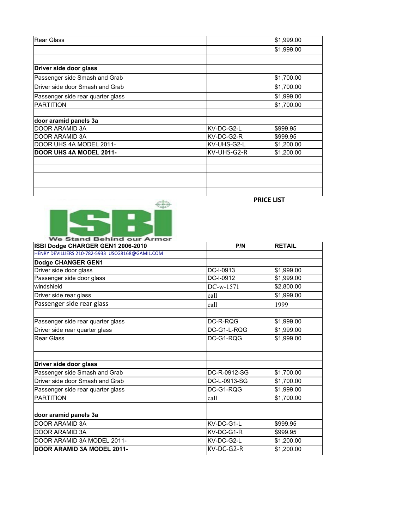| lRear Glass                       |             | \$1,999.00 |
|-----------------------------------|-------------|------------|
|                                   |             | \$1,999.00 |
|                                   |             |            |
| Driver side door glass            |             |            |
| Passenger side Smash and Grab     |             | \$1,700.00 |
| Driver side door Smash and Grab   |             | \$1,700.00 |
| Passenger side rear quarter glass |             | \$1,999.00 |
| <b>IPARTITION</b>                 |             | \$1,700.00 |
|                                   |             |            |
| door aramid panels 3a             |             |            |
| DOOR ARAMID 3A                    | KV-DC-G2-L  | \$999.95   |
| IDOOR ARAMID 3A                   | lKV-DC-G2-R | \$999.95   |
| DOOR UHS 4A MODEL 2011-           | KV-UHS-G2-L | \$1,200.00 |
| <b>DOOR UHS 4A MODEL 2011-</b>    | KV-UHS-G2-R | \$1,200.00 |
|                                   |             |            |
|                                   |             |            |
|                                   |             |            |
|                                   |             |            |
|                                   |             |            |



**PRICE LIST**

| ISBI Dodge CHARGER GEN1 2006-2010                | P/N          | <b>RETAIL</b> |
|--------------------------------------------------|--------------|---------------|
| HENRY DEVILLIERS 210-782-5933 USCG8168@GAMIL.COM |              |               |
| Dodge CHANGER GEN1                               |              |               |
| Driver side door glass                           | DC-I-0913    | \$1,999.00    |
| Passenger side door glass                        | DC-I-0912    | \$1,999.00    |
| lwindshield                                      | $DC-w-1571$  | \$2,800.00    |
| Driver side rear glass                           | lcall        | \$1,999.00    |
| Passenger side rear glass                        | lcall        | 1999          |
| Passenger side rear quarter glass                | DC-R-RQG     | \$1,999.00    |
| Driver side rear quarter glass                   | DC-G1-L-ROG  | \$1,999.00    |
| Rear Glass                                       | DC-G1-RQG    | \$1,999.00    |
|                                                  |              |               |
| Driver side door glass                           |              |               |
| Passenger side Smash and Grab                    | DC-R-0912-SG | \$1,700.00    |
| Driver side door Smash and Grab                  | DC-L-0913-SG | \$1,700.00    |
| Passenger side rear quarter glass                | DC-G1-RQG    | \$1,999.00    |
| PARTITION                                        | lcall        | \$1,700.00    |
| door aramid panels 3a                            |              |               |
| DOOR ARAMID 3A                                   | lKV-DC-G1-L  | l\$999.95     |
| DOOR ARAMID 3A                                   | lKV-DC-G1-R  | \$999.95      |
| DOOR ARAMID 3A MODEL 2011-                       | lKV-DC-G2-L  | \$1,200.00    |
| DOOR ARAMID 3A MODEL 2011-                       | KV-DC-G2-R   | \$1,200.00    |